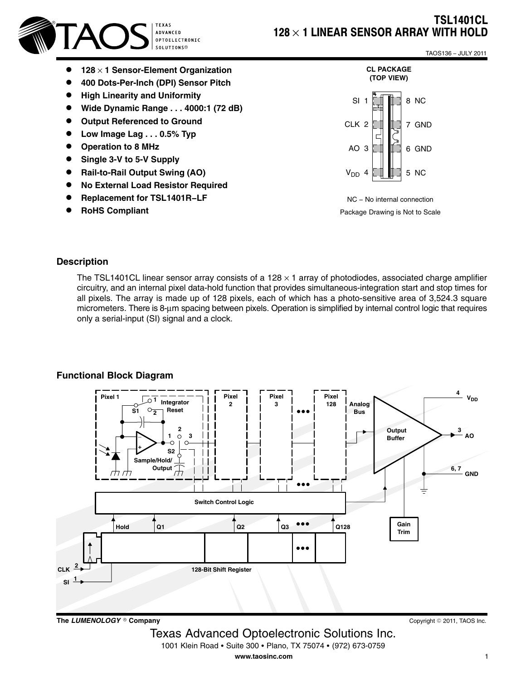



 $\bullet$ 

- **128** × **1 Sensor-Element Organization**
- $\bullet$ **400 Dots-Per-Inch (DPI) Sensor Pitch**
- $\bullet$ **High Linearity and Uniformity**
- $\bullet$ **Wide Dynamic Range . . . 4000:1 (72 dB)**
- $\bullet$ **Output Referenced to Ground**
- $\bullet$ **Low Image Lag . . . 0.5% Typ**
- $\bullet$ **Operation to 8 MHz**
- $\bullet$ **Single 3-V to 5-V Supply**
- $\bullet$ **Rail-to-Rail Output Swing (AO)**
- $\bullet$ **No External Load Resistor Required**
- $\bullet$ **Replacement for TSL1401R−LF**
- $\bullet$ **RoHS Compliant**

TAOS136 − JULY 2011



NC − No internal connection Package Drawing is Not to Scale

#### **Description**

The TSL1401CL linear sensor array consists of a 128  $\times$  1 array of photodiodes, associated charge amplifier circuitry, and an internal pixel data-hold function that provides simultaneous-integration start and stop times for all pixels. The array is made up of 128 pixels, each of which has a photo-sensitive area of 3,524.3 square micrometers. There is 8-μm spacing between pixels. Operation is simplified by internal control logic that requires only a serial-input (SI) signal and a clock.

#### **Functional Block Diagram**



Texas Advanced Optoelectronic Solutions Inc.

1001 Klein Road • Suite 300 • Plano, TX 75074 • (972) 673-0759

**www.taosinc.com**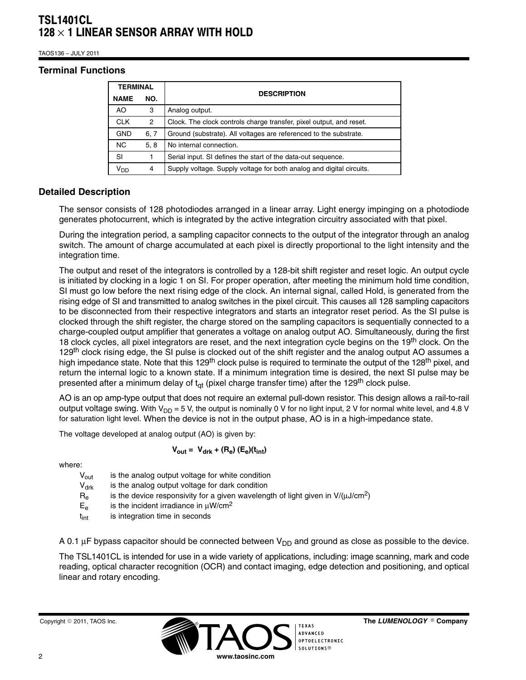TAOS136 − JULY 2011

#### **Terminal Functions**

| <b>TERMINAL</b> |      |                                                                      |  |
|-----------------|------|----------------------------------------------------------------------|--|
| <b>NAME</b>     | NO.  | <b>DESCRIPTION</b>                                                   |  |
| AO.             | 3    | Analog output.                                                       |  |
| <b>CLK</b>      | 2    | Clock. The clock controls charge transfer, pixel output, and reset.  |  |
| <b>GND</b>      | 6, 7 | Ground (substrate). All voltages are referenced to the substrate.    |  |
| NC.             | 5, 8 | No internal connection.                                              |  |
| SI              |      | Serial input. SI defines the start of the data-out sequence.         |  |
| V <sub>DD</sub> | 4    | Supply voltage. Supply voltage for both analog and digital circuits. |  |

### **Detailed Description**

The sensor consists of 128 photodiodes arranged in a linear array. Light energy impinging on a photodiode generates photocurrent, which is integrated by the active integration circuitry associated with that pixel.

During the integration period, a sampling capacitor connects to the output of the integrator through an analog switch. The amount of charge accumulated at each pixel is directly proportional to the light intensity and the integration time.

The output and reset of the integrators is controlled by a 128-bit shift register and reset logic. An output cycle is initiated by clocking in a logic 1 on SI. For proper operation, after meeting the minimum hold time condition, SI must go low before the next rising edge of the clock. An internal signal, called Hold, is generated from the rising edge of SI and transmitted to analog switches in the pixel circuit. This causes all 128 sampling capacitors to be disconnected from their respective integrators and starts an integrator reset period. As the SI pulse is clocked through the shift register, the charge stored on the sampling capacitors is sequentially connected to a charge-coupled output amplifier that generates a voltage on analog output AO. Simultaneously, during the first 18 clock cycles, all pixel integrators are reset, and the next integration cycle begins on the 19<sup>th</sup> clock. On the 129<sup>th</sup> clock rising edge, the SI pulse is clocked out of the shift register and the analog output AO assumes a high impedance state. Note that this 129<sup>th</sup> clock pulse is required to terminate the output of the 128<sup>th</sup> pixel, and return the internal logic to a known state. If a minimum integration time is desired, the next SI pulse may be presented after a minimum delay of  $t_{\text{ct}}$  (pixel charge transfer time) after the 129<sup>th</sup> clock pulse.

AO is an op amp-type output that does not require an external pull-down resistor. This design allows a rail-to-rail output voltage swing. With  $V_{DD} = 5$  V, the output is nominally 0 V for no light input, 2 V for normal white level, and 4.8 V for saturation light level. When the device is not in the output phase, AO is in a high-impedance state.

The voltage developed at analog output (AO) is given by:

$$
V_{\text{out}} = V_{\text{drk}} + (R_{\text{e}}) (E_{\text{e}})(t_{\text{int}})
$$

where:

| $V_{\text{out}}$            | is the analog output voltage for white condition                                     |
|-----------------------------|--------------------------------------------------------------------------------------|
| $\mathsf{V}_{\mathsf{drk}}$ | is the analog output voltage for dark condition                                      |
| $R_{\rm e}$                 | is the device responsivity for a given wavelength of light given in $V/(\mu J/cm^2)$ |
| $E_e$                       | is the incident irradiance in $\mu$ W/cm <sup>2</sup>                                |
| t <sub>int</sub>            | is integration time in seconds                                                       |
|                             |                                                                                      |

A 0.1  $\mu$ F bypass capacitor should be connected between V<sub>DD</sub> and ground as close as possible to the device.

The TSL1401CL is intended for use in a wide variety of applications, including: image scanning, mark and code reading, optical character recognition (OCR) and contact imaging, edge detection and positioning, and optical linear and rotary encoding.

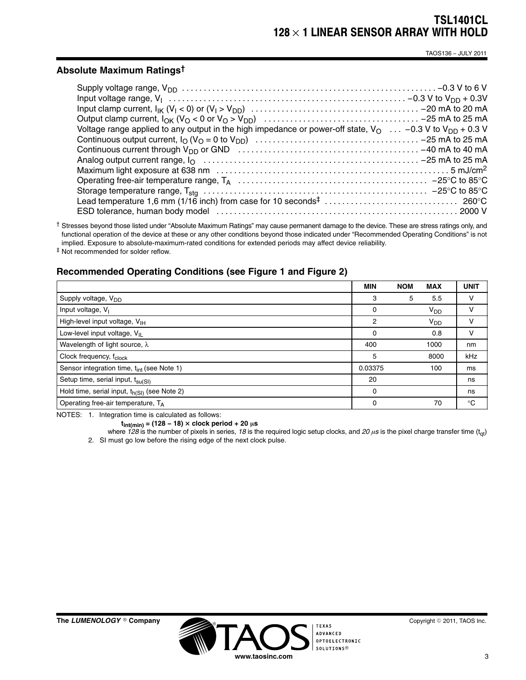TAOS136 − JULY 2011

#### **Absolute Maximum Ratings†**

| Voltage range applied to any output in the high impedance or power-off state, $V_O$ -0.3 V to $V_{DD}$ + 0.3 V                                   |  |
|--------------------------------------------------------------------------------------------------------------------------------------------------|--|
|                                                                                                                                                  |  |
| Continuous current through $V_{DD}$ or GND $\ldots \ldots \ldots \ldots \ldots \ldots \ldots \ldots \ldots \ldots \ldots \ldots -40$ mA to 40 mA |  |
|                                                                                                                                                  |  |
|                                                                                                                                                  |  |
|                                                                                                                                                  |  |
|                                                                                                                                                  |  |
|                                                                                                                                                  |  |
|                                                                                                                                                  |  |

† Stresses beyond those listed under "Absolute Maximum Ratings" may cause permanent damage to the device. These are stress ratings only, and functional operation of the device at these or any other conditions beyond those indicated under "Recommended Operating Conditions" is not implied. Exposure to absolute-maximum-rated conditions for extended periods may affect device reliability.

‡ Not recommended for solder reflow.

### **Recommended Operating Conditions (see Figure 1 and Figure 2)**

|                                                        | <b>MIN</b> | <b>NOM</b> | <b>MAX</b>      | <b>UNIT</b> |
|--------------------------------------------------------|------------|------------|-----------------|-------------|
| Supply voltage, V <sub>DD</sub>                        | 3          | 5          | 5.5             | v           |
| Input voltage, V <sub>1</sub>                          | 0          |            | V <sub>DD</sub> | v           |
| High-level input voltage, $V_{\text{IH}}$              | 2          |            | $V_{DD}$        | v           |
| Low-level input voltage, $V_{II}$                      | 0          |            | 0.8             | v           |
| Wavelength of light source, $\lambda$                  | 400        |            | 1000            | nm          |
| Clock frequency, f <sub>clock</sub>                    | 5          |            | 8000            | kHz         |
| Sensor integration time, t <sub>int</sub> (see Note 1) | 0.03375    |            | 100             | ms          |
| Setup time, serial input, t <sub>su(SI)</sub>          | 20         |            |                 | ns          |
| Hold time, serial input, $t_{h(Sl)}$ (see Note 2)      | $\Omega$   |            |                 | ns          |
| Operating free-air temperature, TA                     | 0          |            | 70              | $^{\circ}C$ |

NOTES: 1. Integration time is calculated as follows:

 $t_{int(min)} = (128 - 18) \times$  clock period + 20  $\mu$ s

where 128 is the number of pixels in series, 18 is the required logic setup clocks, and 20  $\mu$ s is the pixel charge transfer time (t<sub>qt</sub>) 2. SI must go low before the rising edge of the next clock pulse.

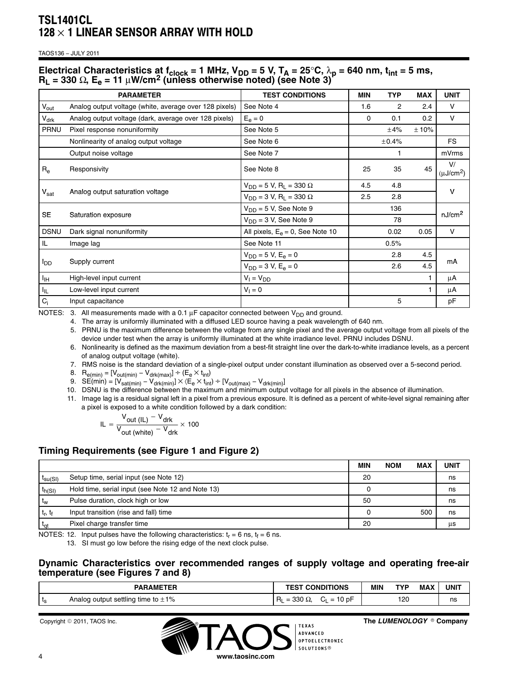TAOS136 − JULY 2011

### Electrical Characteristics at f<sub>clock</sub> = 1 MHz,  $V_{DD}$  = 5 V,  $T_A$  = 25°C,  $\lambda_p$  = 640 nm, t<sub>int</sub> = 5 ms, **RL = 330** Ω**, Ee = 11** μ**W/cm2 (unless otherwise noted) (see Note 3)**

|                        | <b>PARAMETER</b>                                       | <b>TEST CONDITIONS</b>                         | MIN | <b>TYP</b> | <b>MAX</b> | <b>UNIT</b>          |  |
|------------------------|--------------------------------------------------------|------------------------------------------------|-----|------------|------------|----------------------|--|
| $V_{\text{out}}$       | Analog output voltage (white, average over 128 pixels) | See Note 4                                     | 1.6 | 2          | 2.4        | v                    |  |
| $V_{\text{drk}}$       | Analog output voltage (dark, average over 128 pixels)  | $E_e = 0$                                      | 0   | 0.1        | 0.2        | $\vee$               |  |
| PRNU                   | Pixel response nonuniformity                           | See Note 5                                     |     | ±4%        | ±10%       |                      |  |
|                        | Nonlinearity of analog output voltage                  | See Note 6                                     |     | ±0.4%      |            | <b>FS</b>            |  |
|                        | Output noise voltage                                   | See Note 7                                     |     | 1          |            | mVrms                |  |
| $R_{e}$                | Responsivity                                           | See Note 8                                     | 25  | 35         | 45         | V/<br>$(\mu J/cm^2)$ |  |
|                        |                                                        | $V_{DD}$ = 5 V, R <sub>L</sub> = 330 $\Omega$  | 4.5 | 4.8        |            |                      |  |
| $V_{\text{sat}}$       | Analog output saturation voltage                       | $V_{DD} = 3 V$ , R <sub>L</sub> = 330 $\Omega$ | 2.5 | 2.8        |            | v                    |  |
|                        | Saturation exposure                                    | $V_{DD} = 5 V$ , See Note 9                    |     | 136        |            | nJ/cm <sup>2</sup>   |  |
| <b>SE</b>              |                                                        | $V_{DD} = 3 V$ , See Note 9                    |     | 78         |            |                      |  |
| <b>DSNU</b>            | Dark signal nonuniformity                              | All pixels, $E_e = 0$ , See Note 10            |     | 0.02       | 0.05       | V                    |  |
| IL                     | Image lag                                              | See Note 11                                    |     | 0.5%       |            |                      |  |
|                        | Supply current                                         | $V_{DD} = 5 V, E_e = 0$                        |     | 2.8        | 4.5        |                      |  |
| <b>I</b> <sub>DD</sub> |                                                        | $V_{DD} = 3 V, E_e = 0$                        |     | 2.6        | 4.5        | mA                   |  |
| Iн                     | High-level input current                               | $V_1 = V_{DD}$                                 |     |            |            | μA                   |  |
| $I_{\parallel L}$      | Low-level input current                                | $V_1 = 0$                                      |     |            |            | μA                   |  |
| $C_i$                  | Input capacitance                                      |                                                |     | 5          |            | pF                   |  |

NOTES: 3. All measurements made with a 0.1  $\mu$ F capacitor connected between V<sub>DD</sub> and ground.

4. The array is uniformly illuminated with a diffused LED source having a peak wavelength of 640 nm.

5. PRNU is the maximum difference between the voltage from any single pixel and the average output voltage from all pixels of the device under test when the array is uniformly illuminated at the white irradiance level. PRNU includes DSNU.

6. Nonlinearity is defined as the maximum deviation from a best-fit straight line over the dark-to-white irradiance levels, as a percent of analog output voltage (white).

7. RMS noise is the standard deviation of a single-pixel output under constant illumination as observed over a 5-second period.

8.  $R_{e(min)} = [V_{out(min)} - V_{drk(max)}] \div (E_e \times t_{int})$ 

9. SE(min) =  $[V_{sat(min)} - V_{drk(min)}] \times \langle E_e \times t_{int} \rangle + [V_{out(max)} - V_{drk(min)}]$ 

10. DSNU is the difference between the maximum and minimum output voltage for all pixels in the absence of illumination.

11. Image lag is a residual signal left in a pixel from a previous exposure. It is defined as a percent of white-level signal remaining after a pixel is exposed to a white condition followed by a dark condition:

$$
IL = \frac{V_{out (IL)} - V_{drk}}{V_{out (white)} - V_{drk}} \times 100
$$

### **Timing Requirements (see Figure 1 and Figure 2)**

|                |                                                   | <b>MIN</b> | <b>NOM</b> | <b>MAX</b> | UNIT |
|----------------|---------------------------------------------------|------------|------------|------------|------|
| $I_{SU(SI)}$   | Setup time, serial input (see Note 12)            | 20         |            |            | ns   |
| $t_{h(SI)}$    | Hold time, serial input (see Note 12 and Note 13) |            |            |            | ns   |
| t <sub>w</sub> | Pulse duration, clock high or low                 | 50         |            |            | ns   |
| $t_r$ , $t_f$  | Input transition (rise and fall) time             |            |            | 50C        | ns   |
| $t_{\rm cri}$  | Pixel charge transfer time                        | 20         |            |            | μs   |

NOTES: 12. Input pulses have the following characteristics:  $t_r = 6$  ns,  $t_f = 6$  ns.

13. SI must go low before the rising edge of the next clock pulse.

#### **Dynamic Characteristics over recommended ranges of supply voltage and operating free-air temperature (see Figures 7 and 8)**

|    | <b>PARAMETER</b>                                                     | <b>CONDITIONS</b><br>.<br>-3                                                                              | MIN | <b>TVD</b>    | <b>MAX</b> | <b>UNIT</b> |
|----|----------------------------------------------------------------------|-----------------------------------------------------------------------------------------------------------|-----|---------------|------------|-------------|
| ເຊ | output settling<br>1%<br>Analoo<br>$\scriptstyle\rm I$ time to $\pm$ | nnn<br>$\sim$<br>$P_{\rm min}$<br>$\overline{\phantom{a}}$<br>-<br>וח<br>יע ט،<br>- -<br>-<br>JUU.<br>-24 |     | 120<br>$\sim$ |            | ns<br>__    |



The LUMENOLOGY ® Company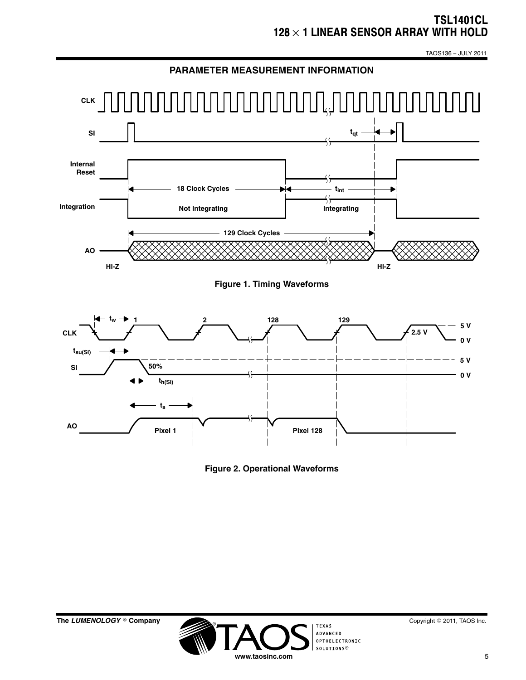TAOS136 − JULY 2011



**Figure 2. Operational Waveforms**

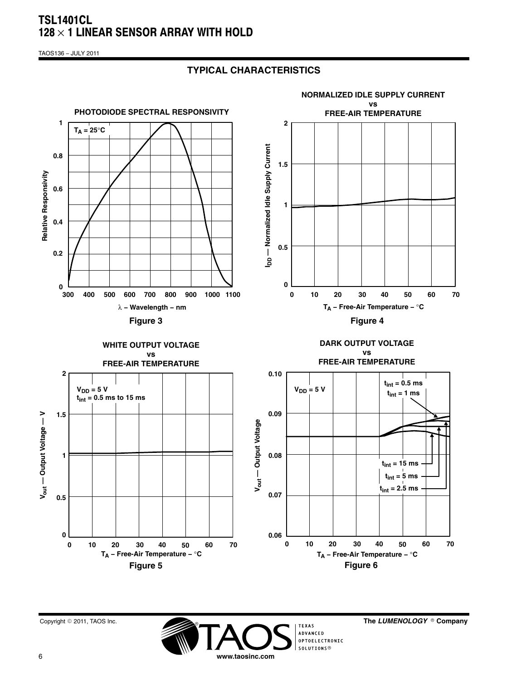TAOS136 − JULY 2011

## **TYPICAL CHARACTERISTICS**





The LUMENOLOGY ® Company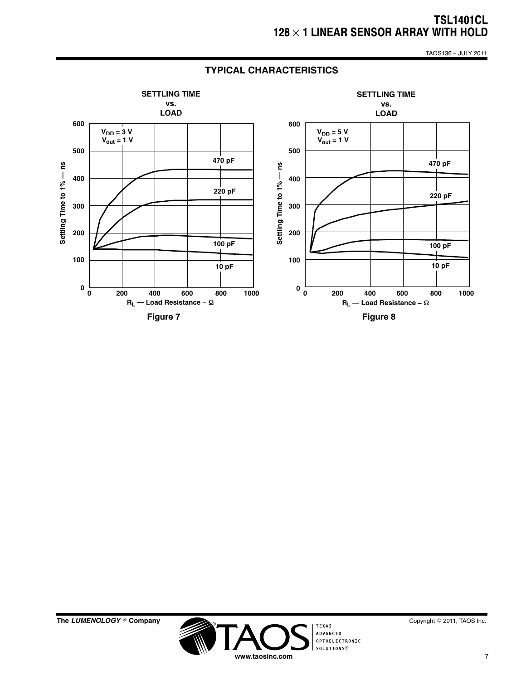TAOS136 − JULY 2011



### **TYPICAL CHARACTERISTICS**





Copyright © 2011, TAOS Inc.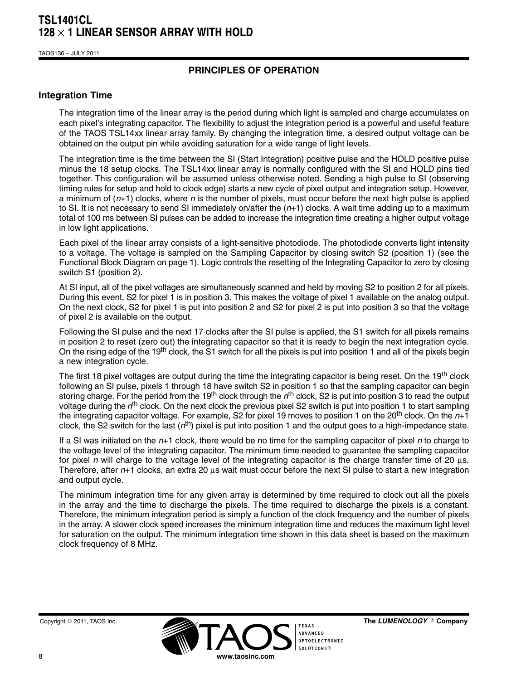TAOS136 − JULY 2011

## **PRINCIPLES OF OPERATION**

#### **Integration Time**

The integration time of the linear array is the period during which light is sampled and charge accumulates on each pixel's integrating capacitor. The flexibility to adjust the integration period is a powerful and useful feature of the TAOS TSL14xx linear array family. By changing the integration time, a desired output voltage can be obtained on the output pin while avoiding saturation for a wide range of light levels.

The integration time is the time between the SI (Start Integration) positive pulse and the HOLD positive pulse minus the 18 setup clocks. The TSL14xx linear array is normally configured with the SI and HOLD pins tied together. This configuration will be assumed unless otherwise noted. Sending a high pulse to SI (observing timing rules for setup and hold to clock edge) starts a new cycle of pixel output and integration setup. However, a minimum of (*n*+1) clocks, where *n* is the number of pixels, must occur before the next high pulse is applied to SI. It is not necessary to send SI immediately on/after the (*n*+1) clocks. A wait time adding up to a maximum total of 100 ms between SI pulses can be added to increase the integration time creating a higher output voltage in low light applications.

Each pixel of the linear array consists of a light-sensitive photodiode. The photodiode converts light intensity to a voltage. The voltage is sampled on the Sampling Capacitor by closing switch S2 (position 1) (see the Functional Block Diagram on page 1). Logic controls the resetting of the Integrating Capacitor to zero by closing switch S1 (position 2).

At SI input, all of the pixel voltages are simultaneously scanned and held by moving S2 to position 2 for all pixels. During this event, S2 for pixel 1 is in position 3. This makes the voltage of pixel 1 available on the analog output. On the next clock, S2 for pixel 1 is put into position 2 and S2 for pixel 2 is put into position 3 so that the voltage of pixel 2 is available on the output.

Following the SI pulse and the next 17 clocks after the SI pulse is applied, the S1 switch for all pixels remains in position 2 to reset (zero out) the integrating capacitor so that it is ready to begin the next integration cycle. On the rising edge of the 19<sup>th</sup> clock, the S1 switch for all the pixels is put into position 1 and all of the pixels begin a new integration cycle.

The first 18 pixel voltages are output during the time the integrating capacitor is being reset. On the 19<sup>th</sup> clock following an SI pulse, pixels 1 through 18 have switch S2 in position 1 so that the sampling capacitor can begin storing charge. For the period from the 19th clock through the *n*th clock, S2 is put into position 3 to read the output voltage during the *n*th clock. On the next clock the previous pixel S2 switch is put into position 1 to start sampling the integrating capacitor voltage. For example, S2 for pixel 19 moves to position 1 on the 20th clock. On the *n*+1 clock, the S2 switch for the last (*n*th) pixel is put into position 1 and the output goes to a high-impedance state.

If a SI was initiated on the *n*+1 clock, there would be no time for the sampling capacitor of pixel *n* to charge to the voltage level of the integrating capacitor. The minimum time needed to guarantee the sampling capacitor for pixel *n* will charge to the voltage level of the integrating capacitor is the charge transfer time of 20 μs. Therefore, after *n*+1 clocks, an extra 20 μs wait must occur before the next SI pulse to start a new integration and output cycle.

The minimum integration time for any given array is determined by time required to clock out all the pixels in the array and the time to discharge the pixels. The time required to discharge the pixels is a constant. Therefore, the minimum integration period is simply a function of the clock frequency and the number of pixels in the array. A slower clock speed increases the minimum integration time and reduces the maximum light level for saturation on the output. The minimum integration time shown in this data sheet is based on the maximum clock frequency of 8 MHz.



The LUMENOLOGY ® Company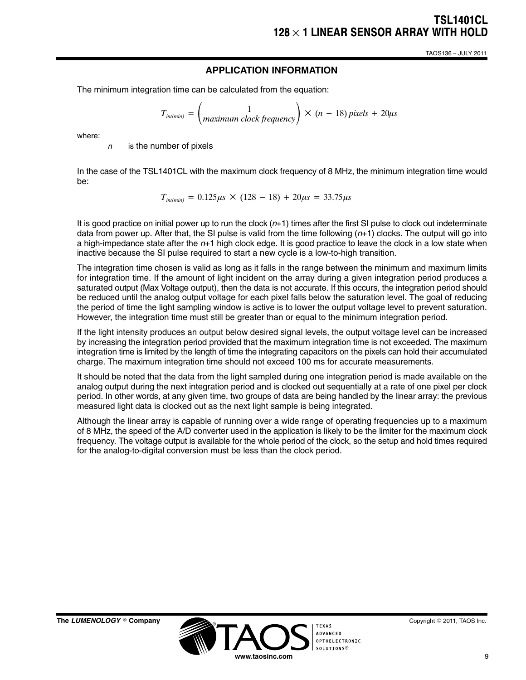TAOS136 − JULY 2011

### **APPLICATION INFORMATION**

The minimum integration time can be calculated from the equation:

$$
T_{int(min)} = \left(\frac{1}{maximum \ clock \ frequency}\right) \times (n - 18) pixels + 20 \mu s
$$

where:

*n* is the number of pixels

In the case of the TSL1401CL with the maximum clock frequency of 8 MHz, the minimum integration time would be:

 $T_{\text{int}(min)} = 0.125 \mu s \times (128 - 18) + 20 \mu s = 33.75 \mu s$ 

It is good practice on initial power up to run the clock (*n*+1) times after the first SI pulse to clock out indeterminate data from power up. After that, the SI pulse is valid from the time following (*n*+1) clocks. The output will go into a high-impedance state after the *n*+1 high clock edge. It is good practice to leave the clock in a low state when inactive because the SI pulse required to start a new cycle is a low-to-high transition.

The integration time chosen is valid as long as it falls in the range between the minimum and maximum limits for integration time. If the amount of light incident on the array during a given integration period produces a saturated output (Max Voltage output), then the data is not accurate. If this occurs, the integration period should be reduced until the analog output voltage for each pixel falls below the saturation level. The goal of reducing the period of time the light sampling window is active is to lower the output voltage level to prevent saturation. However, the integration time must still be greater than or equal to the minimum integration period.

If the light intensity produces an output below desired signal levels, the output voltage level can be increased by increasing the integration period provided that the maximum integration time is not exceeded. The maximum integration time is limited by the length of time the integrating capacitors on the pixels can hold their accumulated charge. The maximum integration time should not exceed 100 ms for accurate measurements.

It should be noted that the data from the light sampled during one integration period is made available on the analog output during the next integration period and is clocked out sequentially at a rate of one pixel per clock period. In other words, at any given time, two groups of data are being handled by the linear array: the previous measured light data is clocked out as the next light sample is being integrated.

Although the linear array is capable of running over a wide range of operating frequencies up to a maximum of 8 MHz, the speed of the A/D converter used in the application is likely to be the limiter for the maximum clock frequency. The voltage output is available for the whole period of the clock, so the setup and hold times required for the analog-to-digital conversion must be less than the clock period.



Copyright © 2011, TAOS Inc.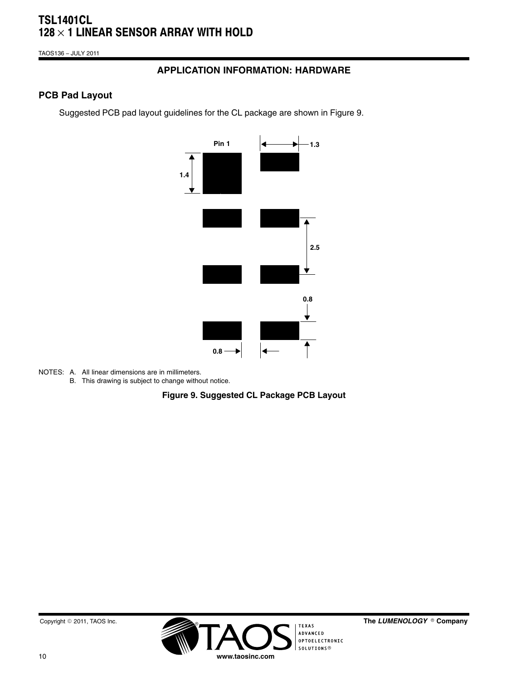TAOS136 − JULY 2011

## **APPLICATION INFORMATION: HARDWARE**

## **PCB Pad Layout**

Suggested PCB pad layout guidelines for the CL package are shown in Figure 9.



- NOTES: A. All linear dimensions are in millimeters.
	- B. This drawing is subject to change without notice.

**Figure 9. Suggested CL Package PCB Layout**

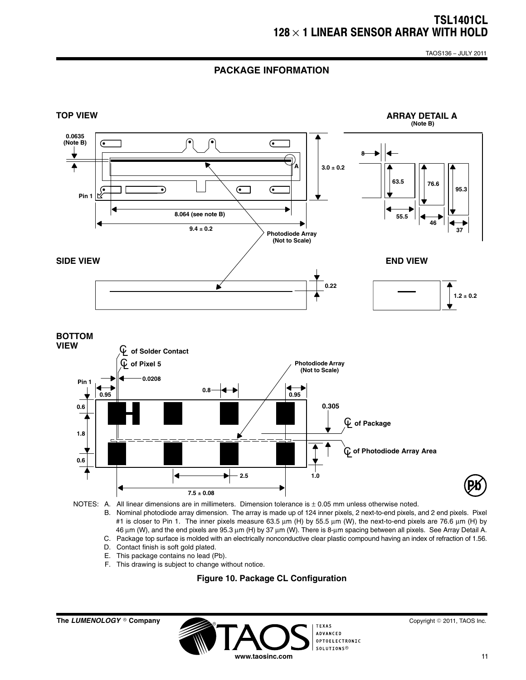TAOS136 − JULY 2011

### **PACKAGE INFORMATION**



- B. Nominal photodiode array dimension. The array is made up of 124 inner pixels, 2 next-to-end pixels, and 2 end pixels. Pixel #1 is closer to Pin 1. The inner pixels measure 63.5 μm (H) by 55.5 μm (W), the next-to-end pixels are 76.6 μm (H) by 46 μm (W), and the end pixels are 95.3 μm (H) by 37 μm (W). There is 8-μm spacing between all pixels. See Array Detail A.
- C. Package top surface is molded with an electrically nonconductive clear plastic compound having an index of refraction of 1.56.
- D. Contact finish is soft gold plated.
- E. This package contains no lead (Pb).
- F. This drawing is subject to change without notice.

#### **Figure 10. Package CL Configuration**

**The LUMENOLOGY** © Company



Copyright © 2011, TAOS Inc.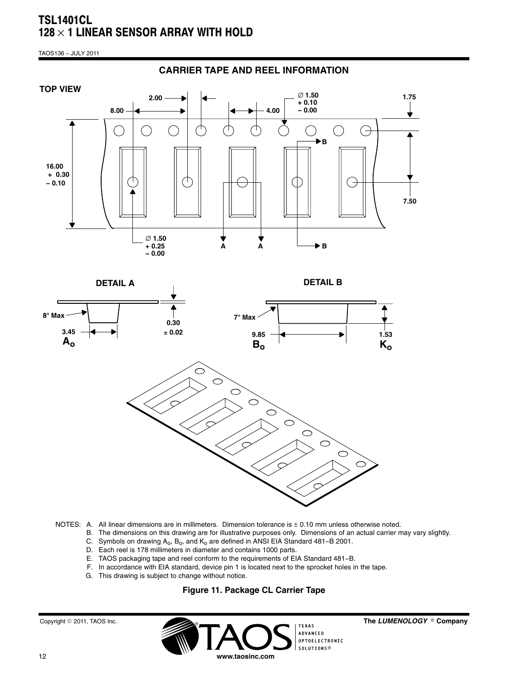TAOS136 − JULY 2011



#### NOTES: A. All linear dimensions are in millimeters. Dimension tolerance is  $\pm$  0.10 mm unless otherwise noted.

- B. The dimensions on this drawing are for illustrative purposes only. Dimensions of an actual carrier may vary slightly.
- C. Symbols on drawing  $A_0$ ,  $B_0$ , and  $K_0$  are defined in ANSI EIA Standard 481–B 2001.
- D. Each reel is 178 millimeters in diameter and contains 1000 parts.
- E. TAOS packaging tape and reel conform to the requirements of EIA Standard 481−B.
- F. In accordance with EIA standard, device pin 1 is located next to the sprocket holes in the tape.
- G. This drawing is subject to change without notice.

#### **Figure 11. Package CL Carrier Tape**

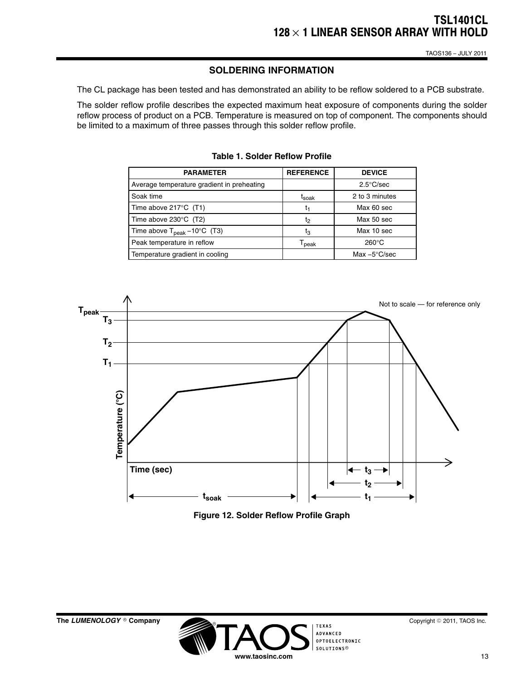### **SOLDERING INFORMATION**

The CL package has been tested and has demonstrated an ability to be reflow soldered to a PCB substrate.

The solder reflow profile describes the expected maximum heat exposure of components during the solder reflow process of product on a PCB. Temperature is measured on top of component. The components should be limited to a maximum of three passes through this solder reflow profile.

| <b>PARAMETER</b>                                 | <b>REFERENCE</b>             | <b>DEVICE</b>          |
|--------------------------------------------------|------------------------------|------------------------|
| Average temperature gradient in preheating       |                              | $2.5^{\circ}$ C/sec    |
| Soak time                                        | t <sub>soak</sub>            | 2 to 3 minutes         |
| Time above $217^{\circ}$ C (T1)                  | t1                           | Max 60 sec             |
| Time above $230^{\circ}$ C (T2)                  | t2                           | Max 50 sec             |
| Time above $T_{\text{peak}} - 10^{\circ}$ C (T3) | tვ                           | Max 10 sec             |
| Peak temperature in reflow                       | $\mathsf{T}_{\mathsf{peak}}$ | $260^{\circ}$ C        |
| Temperature gradient in cooling                  |                              | Max $-5^{\circ}$ C/sec |

| Table 1. Solder Reflow Profile |  |  |  |
|--------------------------------|--|--|--|
|--------------------------------|--|--|--|



**Figure 12. Solder Reflow Profile Graph**

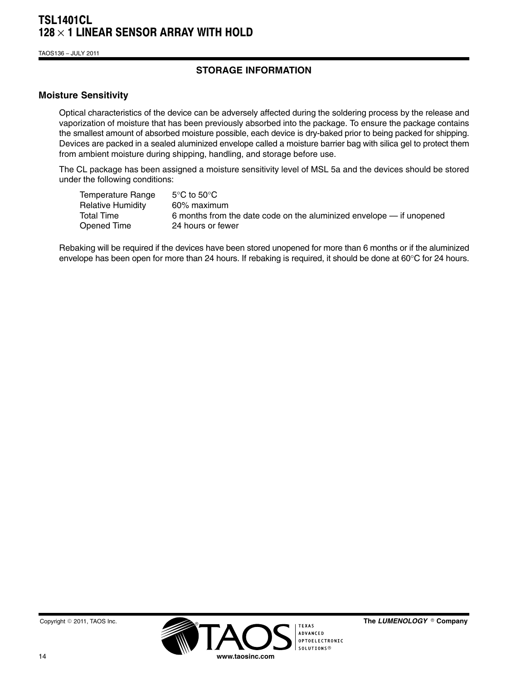TAOS136 − JULY 2011

## **STORAGE INFORMATION**

#### **Moisture Sensitivity**

Optical characteristics of the device can be adversely affected during the soldering process by the release and vaporization of moisture that has been previously absorbed into the package. To ensure the package contains the smallest amount of absorbed moisture possible, each device is dry-baked prior to being packed for shipping. Devices are packed in a sealed aluminized envelope called a moisture barrier bag with silica gel to protect them from ambient moisture during shipping, handling, and storage before use.

The CL package has been assigned a moisture sensitivity level of MSL 5a and the devices should be stored under the following conditions:

| Temperature Range | $5^{\circ}$ C to $50^{\circ}$ C                                      |
|-------------------|----------------------------------------------------------------------|
| Relative Humidity | 60% maximum                                                          |
| <b>Total Time</b> | 6 months from the date code on the aluminized envelope — if unopened |
| Opened Time       | 24 hours or fewer                                                    |

Rebaking will be required if the devices have been stored unopened for more than 6 months or if the aluminized envelope has been open for more than 24 hours. If rebaking is required, it should be done at 60°C for 24 hours.



The LUMENOLOGY <sup>®</sup> Company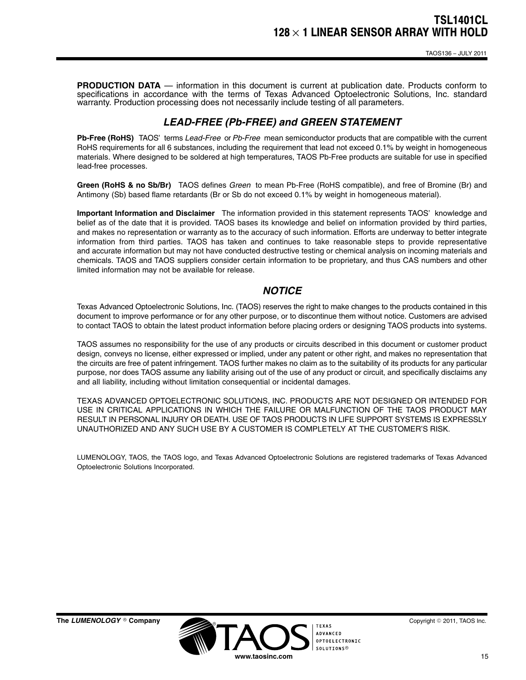**PRODUCTION DATA** — information in this document is current at publication date. Products conform to specifications in accordance with the terms of Texas Advanced Optoelectronic Solutions, Inc. standard warranty. Production processing does not necessarily include testing of all parameters.

## *LEAD-FREE (Pb-FREE) and GREEN STATEMENT*

**Pb-Free (RoHS)** TAOS' terms *Lead-Free* or *Pb-Free* mean semiconductor products that are compatible with the current RoHS requirements for all 6 substances, including the requirement that lead not exceed 0.1% by weight in homogeneous materials. Where designed to be soldered at high temperatures, TAOS Pb-Free products are suitable for use in specified lead-free processes.

**Green (RoHS & no Sb/Br)** TAOS defines *Green* to mean Pb-Free (RoHS compatible), and free of Bromine (Br) and Antimony (Sb) based flame retardants (Br or Sb do not exceed 0.1% by weight in homogeneous material).

**Important Information and Disclaimer** The information provided in this statement represents TAOS' knowledge and belief as of the date that it is provided. TAOS bases its knowledge and belief on information provided by third parties, and makes no representation or warranty as to the accuracy of such information. Efforts are underway to better integrate information from third parties. TAOS has taken and continues to take reasonable steps to provide representative and accurate information but may not have conducted destructive testing or chemical analysis on incoming materials and chemicals. TAOS and TAOS suppliers consider certain information to be proprietary, and thus CAS numbers and other limited information may not be available for release.

#### *NOTICE*

Texas Advanced Optoelectronic Solutions, Inc. (TAOS) reserves the right to make changes to the products contained in this document to improve performance or for any other purpose, or to discontinue them without notice. Customers are advised to contact TAOS to obtain the latest product information before placing orders or designing TAOS products into systems.

TAOS assumes no responsibility for the use of any products or circuits described in this document or customer product design, conveys no license, either expressed or implied, under any patent or other right, and makes no representation that the circuits are free of patent infringement. TAOS further makes no claim as to the suitability of its products for any particular purpose, nor does TAOS assume any liability arising out of the use of any product or circuit, and specifically disclaims any and all liability, including without limitation consequential or incidental damages.

TEXAS ADVANCED OPTOELECTRONIC SOLUTIONS, INC. PRODUCTS ARE NOT DESIGNED OR INTENDED FOR USE IN CRITICAL APPLICATIONS IN WHICH THE FAILURE OR MALFUNCTION OF THE TAOS PRODUCT MAY RESULT IN PERSONAL INJURY OR DEATH. USE OF TAOS PRODUCTS IN LIFE SUPPORT SYSTEMS IS EXPRESSLY UNAUTHORIZED AND ANY SUCH USE BY A CUSTOMER IS COMPLETELY AT THE CUSTOMER'S RISK.

LUMENOLOGY, TAOS, the TAOS logo, and Texas Advanced Optoelectronic Solutions are registered trademarks of Texas Advanced Optoelectronic Solutions Incorporated.